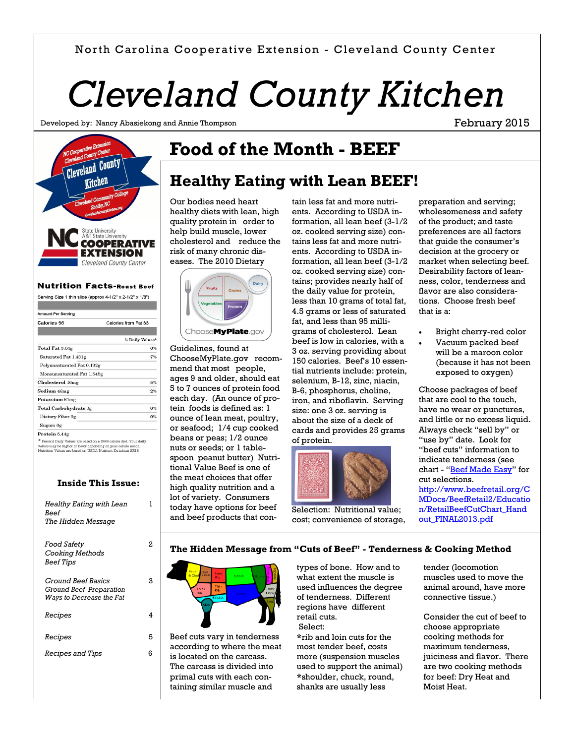#### North Carolina Cooperative Extension - Cleveland County Center

# *Cleveland County Kitchen*

Developed by: Nancy Abasiekong and Annie Thompson

February 2015



#### **Nutrition Facts-Roast Beef**

Serving Size 1 thin slice (approx 4-1/2" x 2-1/2" x 1/8")

| Amount Per Servina                                                                                                                                                                               |                      |
|--------------------------------------------------------------------------------------------------------------------------------------------------------------------------------------------------|----------------------|
| <b>Calories 56</b>                                                                                                                                                                               | Calories from Fat 33 |
|                                                                                                                                                                                                  |                      |
|                                                                                                                                                                                                  | % Daily Values*      |
| Total Fat 3.64g                                                                                                                                                                                  | 6%                   |
| Saturated Fat 1.431g                                                                                                                                                                             | 7%                   |
| Polyunsaturated Fat 0.132g                                                                                                                                                                       |                      |
| Monounsaturated Fat 1.545g                                                                                                                                                                       |                      |
| Cholesterol 16mg                                                                                                                                                                                 | 5%                   |
| Sodium 46mg                                                                                                                                                                                      | 2%                   |
| Potassium 61mg                                                                                                                                                                                   |                      |
| Total Carbohydrate 0g                                                                                                                                                                            | 0%                   |
| Dietary Fiber 0g                                                                                                                                                                                 | 0%                   |
| Sugars Og                                                                                                                                                                                        |                      |
| Protein 5.44g                                                                                                                                                                                    |                      |
| Percent Daily Values are based on a 2000 calorie diet. Your daily<br>values may be higher or lower depending on your calorie needs.<br>Nutrition Values are based on USDA Nutrient Database SE18 |                      |

#### **Inside This Issue:**

| Healthy Eating with Lean<br><b>Reef</b><br>The Hidden Message                    |    |
|----------------------------------------------------------------------------------|----|
| Food Safety<br>Cooking Methods<br><b>Beef Tips</b>                               | 2  |
| <i>Ground Beef Basics</i><br>Ground Beef Preparation<br>Ways to Decrease the Fat | з  |
| Recipes                                                                          | 4  |
| Recipes                                                                          | 5  |
| <i>Recipes and Tips</i>                                                          | ิค |

### **Food of the Month - BEEF**

#### **Healthy Eating with Lean BEEF!**

Our bodies need heart healthy diets with lean, high quality protein in order to help build muscle, lower cholesterol and reduce the risk of many chronic diseases. The 2010 Dietary



Guidelines, found at ChooseMyPlate.gov recommend that most people, ages 9 and older, should eat 5 to 7 ounces of protein food each day. (An ounce of protein foods is defined as: 1 ounce of lean meat, poultry, or seafood; 1/4 cup cooked beans or peas; 1/2 ounce nuts or seeds; or 1 tablespoon peanut butter) Nutritional Value Beef is one of the meat choices that offer high quality nutrition and a lot of variety. Consumers today have options for beef and beef products that con-

tain less fat and more nutrients. According to USDA information, all lean beef (3-1/2 oz. cooked serving size) contains less fat and more nutrients. According to USDA information, all lean beef (3-1/2 oz. cooked serving size) contains; provides nearly half of the daily value for protein, less than 10 grams of total fat, 4.5 grams or less of saturated fat, and less than 95 milligrams of cholesterol. Lean beef is low in calories, with a 3 oz. serving providing about 150 calories. Beef's 10 essential nutrients include: protein, selenium, B-12, zinc, niacin, B-6, phosphorus, choline, iron, and riboflavin. Serving size: one 3 oz. serving is about the size of a deck of cards and provides 25 grams of protein.



Selection: Nutritional value; cost; convenience of storage,

preparation and serving; wholesomeness and safety of the product; and taste preferences are all factors that guide the consumer's decision at the grocery or market when selecting beef. Desirability factors of leanness, color, tenderness and flavor are also considerations. Choose fresh beef that is a:

- Bright cherry-red color
- Vacuum packed beef will be a maroon color (because it has not been exposed to oxygen)

Choose packages of beef that are cool to the touch, have no wear or punctures, and little or no excess liquid. Always check "sell by" or "use by" date. Look for "beef cuts" information to indicate tenderness (see chart - "[Beef Made Easy](http://www.beefretail.org/CMDocs/BeefRetail2/Education/RetailBeefCutChart_Handout_FINAL2013.pdf)" for cut selections. http://www.beefretail.org/C MDocs/BeefRetail2/Educatio n/RetailBeefCutChart\_Hand out\_FINAL2013.pdf

#### **The Hidden Message from "Cuts of Beef" - Tenderness & Cooking Method**



Beef cuts vary in tenderness according to where the meat is located on the carcass. The carcass is divided into primal cuts with each containing similar muscle and

types of bone. How and to what extent the muscle is used influences the degree of tenderness. Different regions have different retail cuts. Select:

**\***rib and loin cuts for the most tender beef, costs more (suspension muscles used to support the animal) **\***shoulder, chuck, round, shanks are usually less

tender (locomotion muscles used to move the animal around, have more connective tissue.)

Consider the cut of beef to choose appropriate cooking methods for maximum tenderness, juiciness and flavor. There are two cooking methods for beef: Dry Heat and Moist Heat.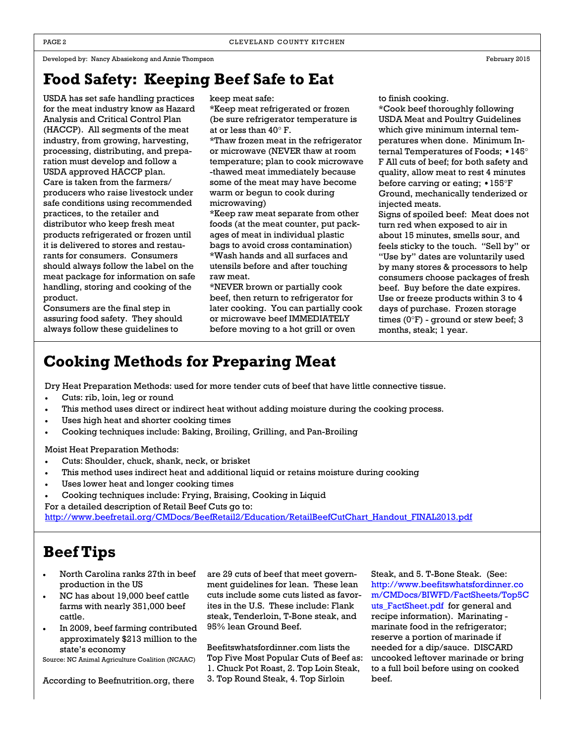#### **Food Safety: Keeping Beef Safe to Eat**

USDA has set safe handling practices for the meat industry know as Hazard Analysis and Critical Control Plan (HACCP). All segments of the meat industry, from growing, harvesting, processing, distributing, and preparation must develop and follow a USDA approved HACCP plan. Care is taken from the farmers/ producers who raise livestock under safe conditions using recommended practices, to the retailer and distributor who keep fresh meat products refrigerated or frozen until it is delivered to stores and restaurants for consumers. Consumers should always follow the label on the meat package for information on safe handling, storing and cooking of the product.

Consumers are the final step in assuring food safety. They should always follow these guidelines to

keep meat safe:

\*Keep meat refrigerated or frozen (be sure refrigerator temperature is at or less than 40° F.

\*Thaw frozen meat in the refrigerator or microwave (NEVER thaw at room temperature; plan to cook microwave -thawed meat immediately because some of the meat may have become warm or begun to cook during microwaving)

\*Keep raw meat separate from other foods (at the meat counter, put packages of meat in individual plastic bags to avoid cross contamination) \*Wash hands and all surfaces and utensils before and after touching raw meat.

\*NEVER brown or partially cook beef, then return to refrigerator for later cooking. You can partially cook or microwave beef IMMEDIATELY before moving to a hot grill or oven

to finish cooking.

\*Cook beef thoroughly following USDA Meat and Poultry Guidelines which give minimum internal temperatures when done. Minimum Internal Temperatures of Foods; •145° F All cuts of beef; for both safety and quality, allow meat to rest 4 minutes before carving or eating; •155°F Ground, mechanically tenderized or injected meats.

Signs of spoiled beef: Meat does not turn red when exposed to air in about 15 minutes, smells sour, and feels sticky to the touch. "Sell by" or "Use by" dates are voluntarily used by many stores & processors to help consumers choose packages of fresh beef. Buy before the date expires. Use or freeze products within 3 to 4 days of purchase. Frozen storage times  $(0^{\circ}F)$  - ground or stew beef; 3 months, steak; 1 year.

#### **Cooking Methods for Preparing Meat**

Dry Heat Preparation Methods: used for more tender cuts of beef that have little connective tissue.

- Cuts: rib, loin, leg or round
- This method uses direct or indirect heat without adding moisture during the cooking process.
- Uses high heat and shorter cooking times
- Cooking techniques include: Baking, Broiling, Grilling, and Pan-Broiling

Moist Heat Preparation Methods:

- Cuts: Shoulder, chuck, shank, neck, or brisket
- This method uses indirect heat and additional liquid or retains moisture during cooking
- Uses lower heat and longer cooking times
- Cooking techniques include: Frying, Braising, Cooking in Liquid
- For a detailed description of Retail Beef Cuts go to:

[http://www.beefretail.org/CMDocs/BeefRetail2/Education/RetailBeefCutChart\\_Handout\\_FINAL2013.pdf](http://www.beefretail.org/CMDocs/BeefRetail2/Education/RetailBeefCutChart_Handout_FINAL2013.pdf)

#### **Beef Tips**

- North Carolina ranks 27th in beef production in the US
- NC has about 19,000 beef cattle farms with nearly 351,000 beef cattle.
- In 2009, beef farming contributed approximately \$213 million to the state's economy

Source: NC Animal Agriculture Coalition (NCAAC)

According to Beefnutrition.org, there

are 29 cuts of beef that meet government guidelines for lean. These lean cuts include some cuts listed as favorites in the U.S. These include: Flank steak, Tenderloin, T-Bone steak, and 95% lean Ground Beef.

Beefitswhatsfordinner.com lists the Top Five Most Popular Cuts of Beef as: 1. Chuck Pot Roast, 2. Top Loin Steak, 3. Top Round Steak, 4. Top Sirloin

Steak, and 5. T-Bone Steak. (See: http://www.beefitswhatsfordinner.co m/CMDocs/BIWFD/FactSheets/Top5C uts\_FactSheet.pdf for general and recipe information). Marinating marinate food in the refrigerator; reserve a portion of marinade if needed for a dip/sauce. DISCARD uncooked leftover marinade or bring to a full boil before using on cooked beef.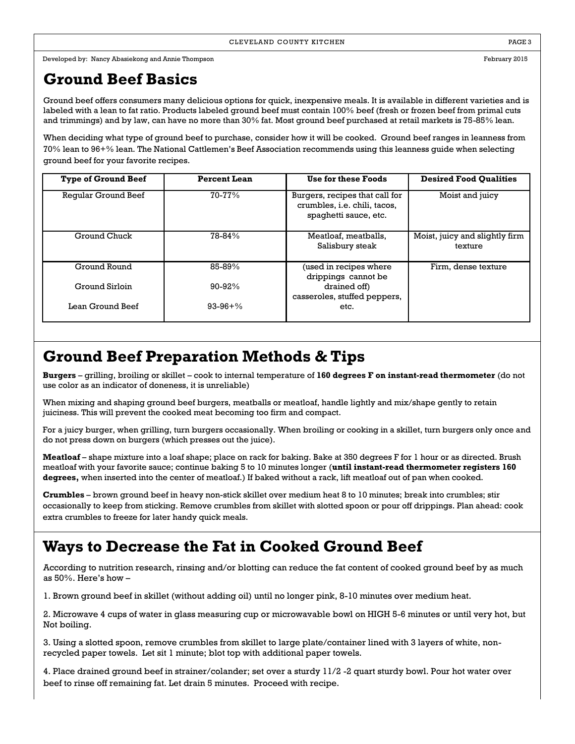#### **Ground Beef Basics**

Ground beef offers consumers many delicious options for quick, inexpensive meals. It is available in different varieties and is labeled with a lean to fat ratio. Products labeled ground beef must contain 100% beef (fresh or frozen beef from primal cuts and trimmings) and by law, can have no more than 30% fat. Most ground beef purchased at retail markets is 75-85% lean.

When deciding what type of ground beef to purchase, consider how it will be cooked. Ground beef ranges in leanness from 70% lean to 96+% lean. The National Cattlemen's Beef Association recommends using this leanness guide when selecting ground beef for your favorite recipes.

| <b>Type of Ground Beef</b> | <b>Percent Lean</b> | Use for these Foods                                                                            | <b>Desired Food Qualities</b>             |
|----------------------------|---------------------|------------------------------------------------------------------------------------------------|-------------------------------------------|
| Reqular Ground Beef        | $70 - 77\%$         | Burgers, recipes that call for<br>crumbles, <i>i.e.</i> chili, tacos,<br>spaghetti sauce, etc. | Moist and juicy                           |
| Ground Chuck               | 78-84%              | Meatloaf, meatballs,<br>Salisbury steak                                                        | Moist, juicy and slightly firm<br>texture |
| Ground Round               | 85-89%              | (used in recipes where<br>drippings cannot be                                                  | Firm, dense texture                       |
| Ground Sirloin             | $90 - 92%$          | drained off)<br>casseroles, stuffed peppers,                                                   |                                           |
| Lean Ground Beef           | $93-96+%$           | etc.                                                                                           |                                           |

#### **Ground Beef Preparation Methods & Tips**

**Burgers** – grilling, broiling or skillet – cook to internal temperature of **160 degrees F on instant-read thermometer** (do not use color as an indicator of doneness, it is unreliable)

When mixing and shaping ground beef burgers, meatballs or meatloaf, handle lightly and mix/shape gently to retain juiciness. This will prevent the cooked meat becoming too firm and compact.

For a juicy burger, when grilling, turn burgers occasionally. When broiling or cooking in a skillet, turn burgers only once and do not press down on burgers (which presses out the juice).

**Meatloaf** – shape mixture into a loaf shape; place on rack for baking. Bake at 350 degrees F for 1 hour or as directed. Brush meatloaf with your favorite sauce; continue baking 5 to 10 minutes longer (**until instant-read thermometer registers 160 degrees,** when inserted into the center of meatloaf.) If baked without a rack, lift meatloaf out of pan when cooked.

**Crumbles** – brown ground beef in heavy non-stick skillet over medium heat 8 to 10 minutes; break into crumbles; stir occasionally to keep from sticking. Remove crumbles from skillet with slotted spoon or pour off drippings. Plan ahead: cook extra crumbles to freeze for later handy quick meals.

### **Ways to Decrease the Fat in Cooked Ground Beef**

According to nutrition research, rinsing and/or blotting can reduce the fat content of cooked ground beef by as much as 50%. Here's how –

1. Brown ground beef in skillet (without adding oil) until no longer pink, 8-10 minutes over medium heat.

2. Microwave 4 cups of water in glass measuring cup or microwavable bowl on HIGH 5-6 minutes or until very hot, but Not boiling.

3. Using a slotted spoon, remove crumbles from skillet to large plate/container lined with 3 layers of white, nonrecycled paper towels. Let sit 1 minute; blot top with additional paper towels.

4. Place drained ground beef in strainer/colander; set over a sturdy 11/2 -2 quart sturdy bowl. Pour hot water over beef to rinse off remaining fat. Let drain 5 minutes. Proceed with recipe.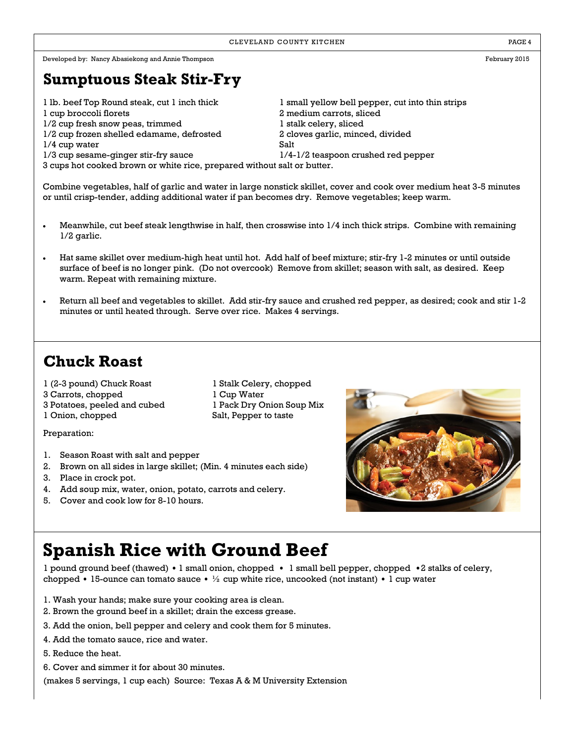#### **Sumptuous Steak Stir-Fry**

1 lb. beef Top Round steak, cut 1 inch thick 1 small yellow bell pepper, cut into thin strips

- 
- 1/2 cup fresh snow peas, trimmed 1 stalk celery, sliced
- 1/2 cup frozen shelled edamame, defrosted 2 cloves garlic, minced, divided
- 1/4 cup water Salt
- 

1 cup broccoli florets 2 medium carrots, sliced 1/3 cup sesame-ginger stir-fry sauce 1/4-1/2 teaspoon crushed red pepper 3 cups hot cooked brown or white rice, prepared without salt or butter.

Combine vegetables, half of garlic and water in large nonstick skillet, cover and cook over medium heat 3-5 minutes or until crisp-tender, adding additional water if pan becomes dry. Remove vegetables; keep warm.

- Meanwhile, cut beef steak lengthwise in half, then crosswise into 1/4 inch thick strips. Combine with remaining 1/2 garlic.
- Hat same skillet over medium-high heat until hot. Add half of beef mixture; stir-fry 1-2 minutes or until outside surface of beef is no longer pink. (Do not overcook) Remove from skillet; season with salt, as desired. Keep warm. Repeat with remaining mixture.
- Return all beef and vegetables to skillet. Add stir-fry sauce and crushed red pepper, as desired; cook and stir 1-2 minutes or until heated through. Serve over rice. Makes 4 servings.

### **Chuck Roast**

1 (2-3 pound) Chuck Roast 1 Stalk Celery, chopped

- 3 Carrots, chopped 1 Cup Water
- 3 Potatoes, peeled and cubed 1 Pack Dry Onion Soup Mix

1 Onion, chopped Salt, Pepper to taste

Preparation:

- 1. Season Roast with salt and pepper
- 2. Brown on all sides in large skillet; (Min. 4 minutes each side)
- 3. Place in crock pot.
- 4. Add soup mix, water, onion, potato, carrots and celery.
- 5. Cover and cook low for 8-10 hours.



## **Spanish Rice with Ground Beef**

1 pound ground beef (thawed) •1 small onion, chopped • 1 small bell pepper, chopped •2 stalks of celery, chopped • 15-ounce can tomato sauce • ½ cup white rice, uncooked (not instant) • 1 cup water

- 1. Wash your hands; make sure your cooking area is clean.
- 2. Brown the ground beef in a skillet; drain the excess grease.
- 3. Add the onion, bell pepper and celery and cook them for 5 minutes.
- 4. Add the tomato sauce, rice and water.
- 5. Reduce the heat.
- 6. Cover and simmer it for about 30 minutes.

(makes 5 servings, 1 cup each) Source: Texas A & M University Extension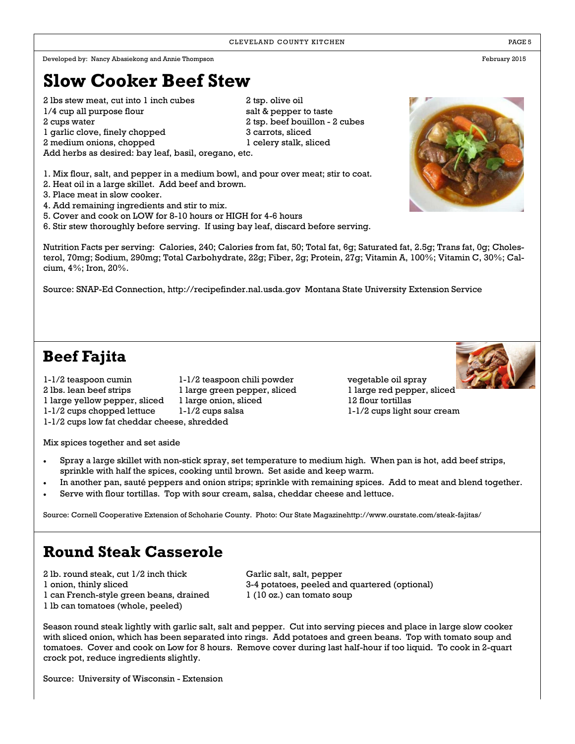### **Slow Cooker Beef Stew**

2 lbs stew meat, cut into 1 inch cubes 2 tsp. olive oil 1/4 cup all purpose flour salt & pepper to taste 2 cups water 2 tsp. beef bouillon - 2 cubes 1 garlic clove, finely chopped 3 carrots, sliced 2 medium onions, chopped 1 celery stalk, sliced Add herbs as desired: bay leaf, basil, oregano, etc.

1. Mix flour, salt, and pepper in a medium bowl, and pour over meat; stir to coat.

- 2. Heat oil in a large skillet. Add beef and brown.
- 3. Place meat in slow cooker.
- 4. Add remaining ingredients and stir to mix.
- 5. Cover and cook on LOW for 8-10 hours or HIGH for 4-6 hours
- 6. Stir stew thoroughly before serving. If using bay leaf, discard before serving.

Nutrition Facts per serving: Calories, 240; Calories from fat, 50; Total fat, 6g; Saturated fat, 2.5g; Trans fat, 0g; Cholesterol, 70mg; Sodium, 290mg; Total Carbohydrate, 22g; Fiber, 2g; Protein, 27g; Vitamin A, 100%; Vitamin C, 30%; Calcium, 4%; Iron, 20%.

Source: SNAP-Ed Connection, http://recipefinder.nal.usda.gov Montana State University Extension Service

### **Beef Fajita**

1-1/2 teaspoon cumin 1-1/2 teaspoon chili powder vegetable oil spray 2 lbs. lean beef strips 1 large green pepper, sliced 1 large red pepper, sliced 1 large yellow pepper, sliced 1 large onion, sliced 12 flour tortillas 1-1/2 cups chopped lettuce 1-1/2 cups salsa 1-1/2 cups ight sour cream

1-1/2 cups low fat cheddar cheese, shredded

Mix spices together and set aside

- Spray a large skillet with non-stick spray, set temperature to medium high. When pan is hot, add beef strips, sprinkle with half the spices, cooking until brown. Set aside and keep warm.
- In another pan, sauté peppers and onion strips; sprinkle with remaining spices. Add to meat and blend together.
- Serve with flour tortillas. Top with sour cream, salsa, cheddar cheese and lettuce.

Source: Cornell Cooperative Extension of Schoharie County. Photo: Our State Magazinehttp://www.ourstate.com/steak-fajitas/

#### **Round Steak Casserole**

2 lb. round steak, cut 1/2 inch thick Garlic salt, salt, pepper 1 can French-style green beans, drained 1 (10 oz.) can tomato soup 1 lb can tomatoes (whole, peeled)

1 onion, thinly sliced 3-4 potatoes, peeled and quartered (optional)

Season round steak lightly with garlic salt, salt and pepper. Cut into serving pieces and place in large slow cooker with sliced onion, which has been separated into rings. Add potatoes and green beans. Top with tomato soup and tomatoes. Cover and cook on Low for 8 hours. Remove cover during last half-hour if too liquid. To cook in 2-quart crock pot, reduce ingredients slightly.

Source: University of Wisconsin - Extension